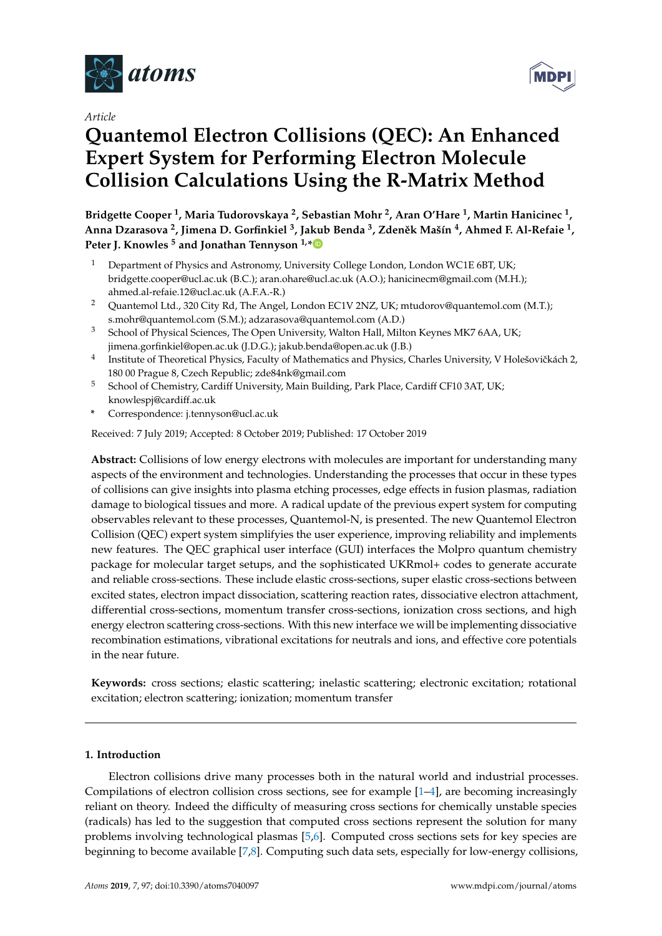

*Article*

# **Quantemol Electron Collisions (QEC): An Enhanced Expert System for Performing Electron Molecule Collision Calculations Using the R-Matrix Method**

**Bridgette Cooper <sup>1</sup> , Maria Tudorovskaya <sup>2</sup> , Sebastian Mohr <sup>2</sup> , Aran O'Hare <sup>1</sup> , Martin Hanicinec <sup>1</sup> , Anna Dzarasova <sup>2</sup> , Jimena D. Gorfinkiel <sup>3</sup> , Jakub Benda <sup>3</sup> , Zden ˇek Mašín <sup>4</sup> , Ahmed F. Al-Refaie <sup>1</sup> , Peter J. Knowles <sup>5</sup> and Jonathan Tennyson 1,[\\*](https://orcid.org/0000-0002-4994-5238)**

- Department of Physics and Astronomy, University College London, London WC1E 6BT, UK; bridgette.cooper@ucl.ac.uk (B.C.); aran.ohare@ucl.ac.uk (A.O.); hanicinecm@gmail.com (M.H.); ahmed.al-refaie.12@ucl.ac.uk (A.F.A.-R.)
- <sup>2</sup> Quantemol Ltd., 320 City Rd, The Angel, London EC1V 2NZ, UK; mtudorov@quantemol.com (M.T.); s.mohr@quantemol.com (S.M.); adzarasova@quantemol.com (A.D.)
- <sup>3</sup> School of Physical Sciences, The Open University, Walton Hall, Milton Keynes MK7 6AA, UK; jimena.gorfinkiel@open.ac.uk (J.D.G.); jakub.benda@open.ac.uk (J.B.)
- 4 Institute of Theoretical Physics, Faculty of Mathematics and Physics, Charles University, V Holešovičkách 2, 180 00 Prague 8, Czech Republic; zde84nk@gmail.com
- <sup>5</sup> School of Chemistry, Cardiff University, Main Building, Park Place, Cardiff CF10 3AT, UK; knowlespj@cardiff.ac.uk
- **\*** Correspondence: j.tennyson@ucl.ac.uk

Received: 7 July 2019; Accepted: 8 October 2019; Published: 17 October 2019

**Abstract:** Collisions of low energy electrons with molecules are important for understanding many aspects of the environment and technologies. Understanding the processes that occur in these types of collisions can give insights into plasma etching processes, edge effects in fusion plasmas, radiation damage to biological tissues and more. A radical update of the previous expert system for computing observables relevant to these processes, Quantemol-N, is presented. The new Quantemol Electron Collision (QEC) expert system simplifyies the user experience, improving reliability and implements new features. The QEC graphical user interface (GUI) interfaces the Molpro quantum chemistry package for molecular target setups, and the sophisticated UKRmol+ codes to generate accurate and reliable cross-sections. These include elastic cross-sections, super elastic cross-sections between excited states, electron impact dissociation, scattering reaction rates, dissociative electron attachment, differential cross-sections, momentum transfer cross-sections, ionization cross sections, and high energy electron scattering cross-sections. With this new interface we will be implementing dissociative recombination estimations, vibrational excitations for neutrals and ions, and effective core potentials in the near future.

**Keywords:** cross sections; elastic scattering; inelastic scattering; electronic excitation; rotational excitation; electron scattering; ionization; momentum transfer

## **1. Introduction**

Electron collisions drive many processes both in the natural world and industrial processes. Compilations of electron collision cross sections, see for example [\[1](#page-8-0)[–4\]](#page-8-1), are becoming increasingly reliant on theory. Indeed the difficulty of measuring cross sections for chemically unstable species (radicals) has led to the suggestion that computed cross sections represent the solution for many problems involving technological plasmas [\[5,](#page-8-2)[6\]](#page-8-3). Computed cross sections sets for key species are beginning to become available [\[7,](#page-8-4)[8\]](#page-8-5). Computing such data sets, especially for low-energy collisions,

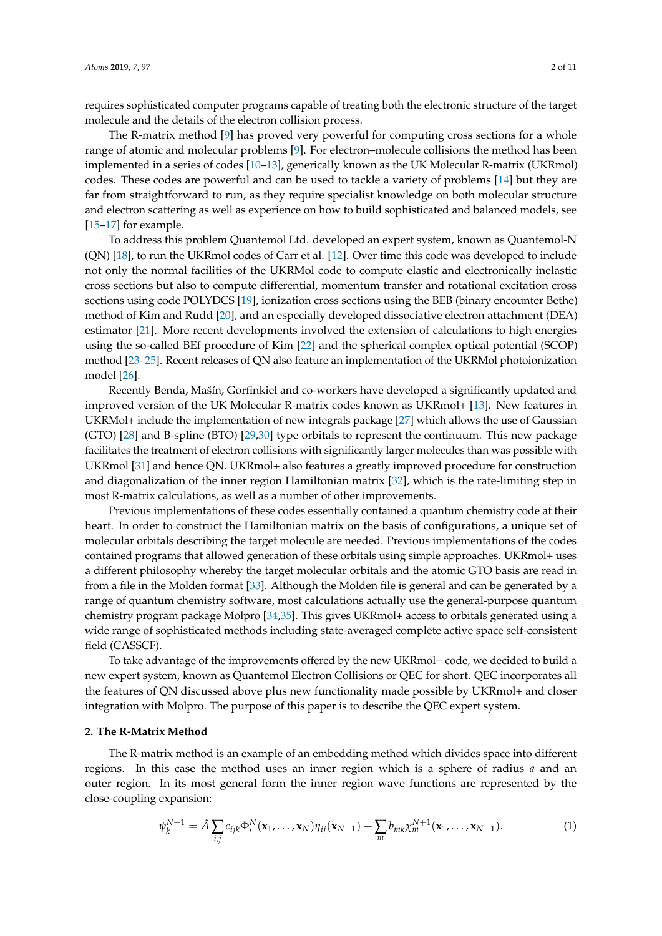requires sophisticated computer programs capable of treating both the electronic structure of the target molecule and the details of the electron collision process.

The R-matrix method [\[9\]](#page-8-6) has proved very powerful for computing cross sections for a whole range of atomic and molecular problems [\[9\]](#page-8-6). For electron–molecule collisions the method has been implemented in a series of codes [\[10–](#page-9-0)[13\]](#page-9-1), generically known as the UK Molecular R-matrix (UKRmol) codes. These codes are powerful and can be used to tackle a variety of problems [\[14\]](#page-9-2) but they are far from straightforward to run, as they require specialist knowledge on both molecular structure and electron scattering as well as experience on how to build sophisticated and balanced models, see [\[15–](#page-9-3)[17\]](#page-9-4) for example.

To address this problem Quantemol Ltd. developed an expert system, known as Quantemol-N (QN) [\[18\]](#page-9-5), to run the UKRmol codes of Carr et al. [\[12\]](#page-9-6). Over time this code was developed to include not only the normal facilities of the UKRMol code to compute elastic and electronically inelastic cross sections but also to compute differential, momentum transfer and rotational excitation cross sections using code POLYDCS [\[19\]](#page-9-7), ionization cross sections using the BEB (binary encounter Bethe) method of Kim and Rudd [\[20\]](#page-9-8), and an especially developed dissociative electron attachment (DEA) estimator [\[21\]](#page-9-9). More recent developments involved the extension of calculations to high energies using the so-called BEf procedure of Kim [\[22\]](#page-9-10) and the spherical complex optical potential (SCOP) method [\[23](#page-9-11)[–25\]](#page-9-12). Recent releases of QN also feature an implementation of the UKRMol photoionization model [\[26\]](#page-9-13).

Recently Benda, Mašín, Gorfinkiel and co-workers have developed a significantly updated and improved version of the UK Molecular R-matrix codes known as UKRmol+ [\[13\]](#page-9-1). New features in UKRMol+ include the implementation of new integrals package [\[27\]](#page-9-14) which allows the use of Gaussian (GTO) [\[28\]](#page-9-15) and B-spline (BTO) [\[29](#page-9-16)[,30\]](#page-9-17) type orbitals to represent the continuum. This new package facilitates the treatment of electron collisions with significantly larger molecules than was possible with UKRmol [\[31\]](#page-9-18) and hence QN. UKRmol+ also features a greatly improved procedure for construction and diagonalization of the inner region Hamiltonian matrix [\[32\]](#page-9-19), which is the rate-limiting step in most R-matrix calculations, as well as a number of other improvements.

Previous implementations of these codes essentially contained a quantum chemistry code at their heart. In order to construct the Hamiltonian matrix on the basis of configurations, a unique set of molecular orbitals describing the target molecule are needed. Previous implementations of the codes contained programs that allowed generation of these orbitals using simple approaches. UKRmol+ uses a different philosophy whereby the target molecular orbitals and the atomic GTO basis are read in from a file in the Molden format [\[33\]](#page-9-20). Although the Molden file is general and can be generated by a range of quantum chemistry software, most calculations actually use the general-purpose quantum chemistry program package Molpro [\[34](#page-9-21)[,35\]](#page-9-22). This gives UKRmol+ access to orbitals generated using a wide range of sophisticated methods including state-averaged complete active space self-consistent field (CASSCF).

To take advantage of the improvements offered by the new UKRmol+ code, we decided to build a new expert system, known as Quantemol Electron Collisions or QEC for short. QEC incorporates all the features of QN discussed above plus new functionality made possible by UKRmol+ and closer integration with Molpro. The purpose of this paper is to describe the QEC expert system.

#### **2. The R-Matrix Method**

The R-matrix method is an example of an embedding method which divides space into different regions. In this case the method uses an inner region which is a sphere of radius *a* and an outer region. In its most general form the inner region wave functions are represented by the close-coupling expansion:

<span id="page-1-0"></span>
$$
\psi_k^{N+1} = \hat{A} \sum_{i,j} c_{ijk} \Phi_i^N(\mathbf{x}_1, \dots, \mathbf{x}_N) \eta_{ij}(\mathbf{x}_{N+1}) + \sum_m b_{mk} \chi_m^{N+1}(\mathbf{x}_1, \dots, \mathbf{x}_{N+1}).
$$
\n(1)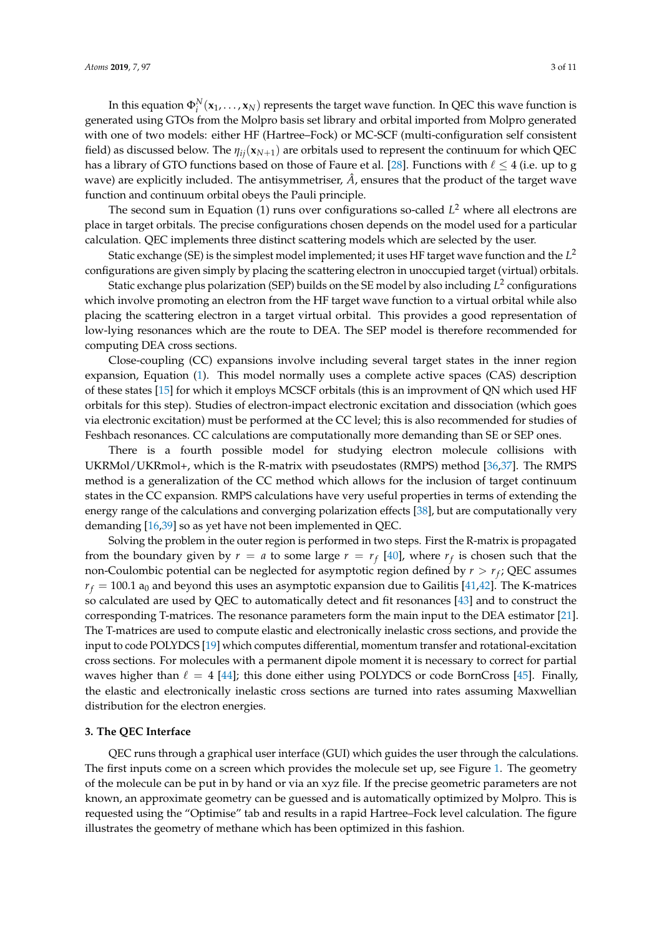In this equation  $\Phi_i^N(\mathbf{x}_1,\dots,\mathbf{x}_N)$  represents the target wave function. In QEC this wave function is generated using GTOs from the Molpro basis set library and orbital imported from Molpro generated with one of two models: either HF (Hartree–Fock) or MC-SCF (multi-configuration self consistent field) as discussed below. The *ηij*(**x***N*+1) are orbitals used to represent the continuum for which QEC has a library of GTO functions based on those of Faure et al. [\[28\]](#page-9-15). Functions with  $\ell \leq 4$  (i.e. up to g wave) are explicitly included. The antisymmetriser,  $\hat{A}$ , ensures that the product of the target wave function and continuum orbital obeys the Pauli principle.

The second sum in Equation (1) runs over configurations so-called *L* <sup>2</sup> where all electrons are place in target orbitals. The precise configurations chosen depends on the model used for a particular calculation. QEC implements three distinct scattering models which are selected by the user.

Static exchange (SE) is the simplest model implemented; it uses HF target wave function and the *L* 2 configurations are given simply by placing the scattering electron in unoccupied target (virtual) orbitals.

Static exchange plus polarization (SEP) builds on the SE model by also including *L* 2 configurations which involve promoting an electron from the HF target wave function to a virtual orbital while also placing the scattering electron in a target virtual orbital. This provides a good representation of low-lying resonances which are the route to DEA. The SEP model is therefore recommended for computing DEA cross sections.

Close-coupling (CC) expansions involve including several target states in the inner region expansion, Equation [\(1\)](#page-1-0). This model normally uses a complete active spaces (CAS) description of these states [\[15\]](#page-9-3) for which it employs MCSCF orbitals (this is an improvment of QN which used HF orbitals for this step). Studies of electron-impact electronic excitation and dissociation (which goes via electronic excitation) must be performed at the CC level; this is also recommended for studies of Feshbach resonances. CC calculations are computationally more demanding than SE or SEP ones.

There is a fourth possible model for studying electron molecule collisions with UKRMol/UKRmol+, which is the R-matrix with pseudostates (RMPS) method [\[36,](#page-10-0)[37\]](#page-10-1). The RMPS method is a generalization of the CC method which allows for the inclusion of target continuum states in the CC expansion. RMPS calculations have very useful properties in terms of extending the energy range of the calculations and converging polarization effects [\[38\]](#page-10-2), but are computationally very demanding [\[16,](#page-9-23)[39\]](#page-10-3) so as yet have not been implemented in QEC.

Solving the problem in the outer region is performed in two steps. First the R-matrix is propagated from the boundary given by  $r = a$  to some large  $r = r_f$  [\[40\]](#page-10-4), where  $r_f$  is chosen such that the non-Coulombic potential can be neglected for asymptotic region defined by *r* > *r<sup>f</sup>* ; QEC assumes  $r_f = 100.1$  a<sub>0</sub> and beyond this uses an asymptotic expansion due to Gailitis [\[41,](#page-10-5)[42\]](#page-10-6). The K-matrices so calculated are used by QEC to automatically detect and fit resonances [\[43\]](#page-10-7) and to construct the corresponding T-matrices. The resonance parameters form the main input to the DEA estimator [\[21\]](#page-9-9). The T-matrices are used to compute elastic and electronically inelastic cross sections, and provide the input to code POLYDCS [\[19\]](#page-9-7) which computes differential, momentum transfer and rotational-excitation cross sections. For molecules with a permanent dipole moment it is necessary to correct for partial waves higher than  $\ell = 4$  [\[44\]](#page-10-8); this done either using POLYDCS or code BornCross [\[45\]](#page-10-9). Finally, the elastic and electronically inelastic cross sections are turned into rates assuming Maxwellian distribution for the electron energies.

#### **3. The QEC Interface**

QEC runs through a graphical user interface (GUI) which guides the user through the calculations. The first inputs come on a screen which provides the molecule set up, see Figure [1.](#page-3-0) The geometry of the molecule can be put in by hand or via an xyz file. If the precise geometric parameters are not known, an approximate geometry can be guessed and is automatically optimized by Molpro. This is requested using the "Optimise" tab and results in a rapid Hartree–Fock level calculation. The figure illustrates the geometry of methane which has been optimized in this fashion.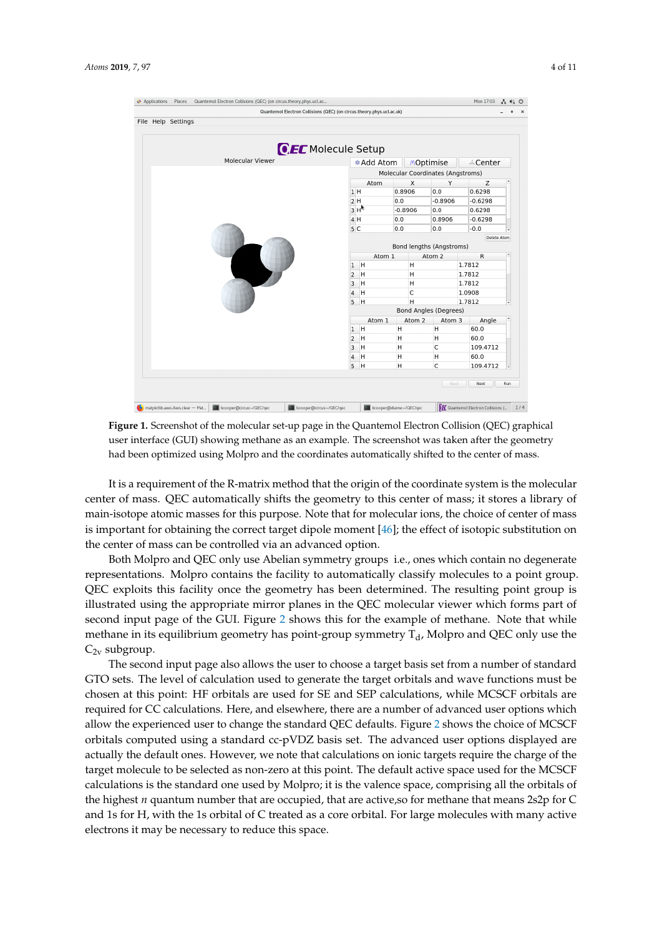<span id="page-3-0"></span>

| File Help Settings        |                                         | Quantemol Electron Collisions (QEC) (on circus.theory.phys.ucl.ac.uk) |           |                              |             |                  |  |  |
|---------------------------|-----------------------------------------|-----------------------------------------------------------------------|-----------|------------------------------|-------------|------------------|--|--|
| <b>OEC</b> Molecule Setup |                                         |                                                                       |           |                              |             |                  |  |  |
| <b>Molecular Viewer</b>   |                                         | MOptimise<br><b>*Add Atom</b><br>√ Center                             |           |                              |             |                  |  |  |
|                           |                                         | Molecular Coordinates (Angstroms)                                     |           |                              |             |                  |  |  |
|                           |                                         | Atom                                                                  | X         | Υ                            | $\mathsf Z$ | $\blacktriangle$ |  |  |
|                           | 1H                                      |                                                                       | 0.8906    | 0.0                          | 0.6298      |                  |  |  |
|                           | 2H                                      |                                                                       | 0.0       | $-0.8906$                    | $-0.6298$   |                  |  |  |
|                           |                                         | 3H <sub>k</sub>                                                       | $-0.8906$ | 0.0                          | 0.6298      |                  |  |  |
|                           | 4 H                                     |                                                                       | 0.0       | 0.8906                       | $-0.6298$   |                  |  |  |
|                           | 5 <sub>C</sub>                          |                                                                       | 0.0       | 0.0                          | $-0.0$      |                  |  |  |
|                           | Delete Atom<br>Bond lengths (Angstroms) |                                                                       |           |                              |             |                  |  |  |
|                           |                                         | Atom 1                                                                |           | Atom 2                       | R           |                  |  |  |
|                           | 1                                       | H                                                                     | H         |                              | 1.7812      |                  |  |  |
|                           | $\overline{2}$                          | H                                                                     | H         |                              | 1.7812      |                  |  |  |
|                           | 3                                       | H                                                                     | H         |                              | 1.7812      |                  |  |  |
|                           | 4                                       | H                                                                     | C         |                              | 1.0908      |                  |  |  |
|                           | 5                                       | H                                                                     | H         |                              | 1.7812      |                  |  |  |
|                           |                                         |                                                                       |           | <b>Bond Angles (Degrees)</b> |             |                  |  |  |
|                           |                                         | Atom 1                                                                | Atom 2    | Atom 3                       | Angle       |                  |  |  |
|                           | $\mathbf{1}$                            | H                                                                     | н         | н                            | 60.0        |                  |  |  |
|                           | 2                                       | Η                                                                     | н         | н                            | 60.0        |                  |  |  |
|                           | 3                                       | H                                                                     | н         | C                            | 109.4712    |                  |  |  |
|                           | 4                                       | H                                                                     | H         | н                            | 60.0        |                  |  |  |
|                           | 5                                       | H                                                                     | н         | C                            | 109.4712    |                  |  |  |
|                           |                                         |                                                                       |           | Back                         | Next        | Run              |  |  |

**Figure 1.** Screenshot of the molecular set-up page in the Quantemol Electron Collision (QEC) graphical user interface (GUI) showing methane as an example. The screenshot was taken after the geometry had been optimized using Molpro and the coordinates automatically shifted to the center of mass.

It is a requirement of the R-matrix method that the origin of the coordinate system is the molecular center of mass. QEC automatically shifts the geometry to this center of mass; it stores a library of main-isotope atomic masses for this purpose. Note that for molecular ions, the choice of center of mass is important for obtaining the correct target dipole moment [\[46\]](#page-10-10); the effect of isotopic substitution on the center of mass can be controlled via an advanced option.

Both Molpro and QEC only use Abelian symmetry groups i.e., ones which contain no degenerate representations. Molpro contains the facility to automatically classify molecules to a point group. QEC exploits this facility once the geometry has been determined. The resulting point group is illustrated using the appropriate mirror planes in the QEC molecular viewer which forms part of second input page of the GUI. Figure [2](#page-4-0) shows this for the example of methane. Note that while methane in its equilibrium geometry has point-group symmetry  $T_d$ , Molpro and QEC only use the  $C_{2v}$  subgroup.

The second input page also allows the user to choose a target basis set from a number of standard GTO sets. The level of calculation used to generate the target orbitals and wave functions must be chosen at this point: HF orbitals are used for SE and SEP calculations, while MCSCF orbitals are required for CC calculations. Here, and elsewhere, there are a number of advanced user options which allow the experienced user to change the standard QEC defaults. Figure [2](#page-4-0) shows the choice of MCSCF orbitals computed using a standard cc-pVDZ basis set. The advanced user options displayed are actually the default ones. However, we note that calculations on ionic targets require the charge of the target molecule to be selected as non-zero at this point. The default active space used for the MCSCF calculations is the standard one used by Molpro; it is the valence space, comprising all the orbitals of the highest *n* quantum number that are occupied, that are active,so for methane that means 2s2p for C and 1s for H, with the 1s orbital of C treated as a core orbital. For large molecules with many active electrons it may be necessary to reduce this space.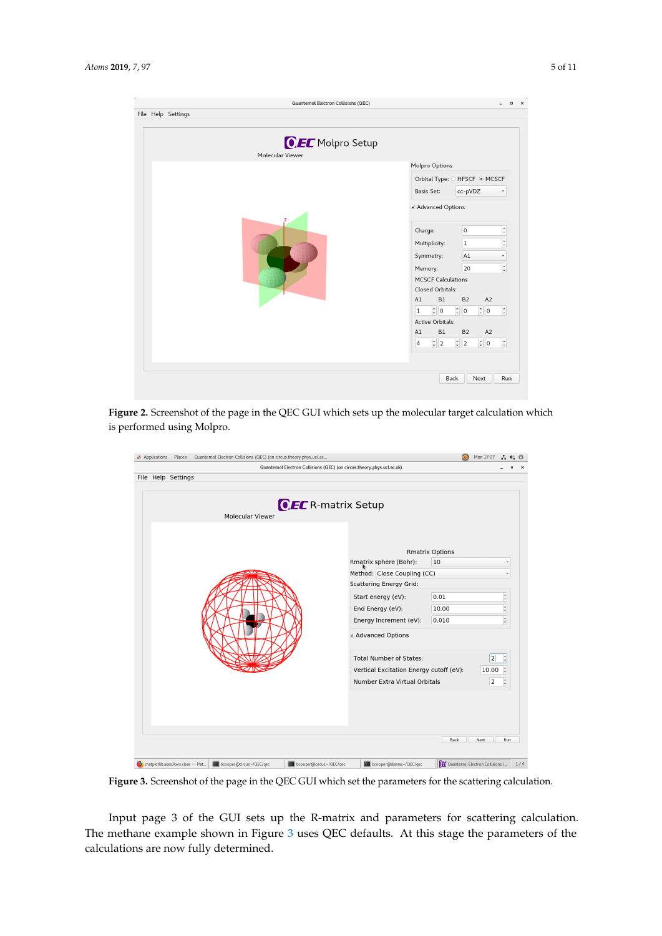<span id="page-4-0"></span>

|   | File Help Settings |  |                  |  | Quantemol Electron Collisions (QEC) |                |                                                 |                                                      |                 | $\Box$                                       |  |
|---|--------------------|--|------------------|--|-------------------------------------|----------------|-------------------------------------------------|------------------------------------------------------|-----------------|----------------------------------------------|--|
|   |                    |  | Molecular Viewer |  | <b>CEC</b> Molpro Setup             |                |                                                 |                                                      |                 |                                              |  |
|   |                    |  |                  |  |                                     |                | Molpro Options<br>Orbital Type: O HFSCF @ MCSCF |                                                      |                 |                                              |  |
|   |                    |  |                  |  |                                     |                |                                                 |                                                      |                 |                                              |  |
|   |                    |  |                  |  |                                     |                | Basis Set:                                      | cc-pVDZ                                              |                 | $\checkmark$                                 |  |
| z |                    |  |                  |  |                                     |                | √ Advanced Options                              |                                                      |                 |                                              |  |
|   |                    |  |                  |  |                                     | Charge:        |                                                 | $\bf{0}$                                             |                 | l a<br>$\overline{\phantom{a}}$              |  |
|   |                    |  |                  |  |                                     |                | Multiplicity:                                   | $\vert$ 1                                            |                 | L.                                           |  |
|   |                    |  |                  |  |                                     |                | Symmetry:                                       | A <sub>1</sub>                                       |                 | $\check{}$                                   |  |
|   |                    |  |                  |  |                                     |                | Memory:                                         | 20                                                   |                 | $\blacktriangle$<br>$\overline{\phantom{a}}$ |  |
|   |                    |  |                  |  |                                     |                | <b>MCSCF Calculations</b>                       |                                                      |                 |                                              |  |
|   |                    |  |                  |  |                                     |                | Closed Orbitals:                                |                                                      |                 |                                              |  |
|   |                    |  |                  |  |                                     | A1             | B1                                              | B <sub>2</sub>                                       | A2              |                                              |  |
|   |                    |  |                  |  |                                     | 1              | $\div$ 0                                        | $\hat{\overline{\phantom{a}}\phantom{a}}$<br>$\circ$ | $\frac{1}{2}$ 0 | $\hat{\phantom{a}}$                          |  |
|   |                    |  |                  |  |                                     |                | Active Orbitals:                                |                                                      |                 |                                              |  |
|   |                    |  |                  |  |                                     | A1             | B1                                              | <b>B2</b>                                            | A2              |                                              |  |
|   |                    |  |                  |  |                                     | $\overline{4}$ | $\frac{1}{2}$   2                               | $\frac{1}{x}$ 2                                      | $\frac{1}{2}$ 0 | $\hat{\overline{\phantom{a}}\phantom{a}}$    |  |
|   |                    |  |                  |  |                                     |                |                                                 |                                                      |                 |                                              |  |
|   |                    |  |                  |  |                                     |                |                                                 | Back                                                 | Next            | Run                                          |  |

**Figure 2.** Screenshot of the page in the QEC GUI which sets up the molecular target calculation which is performed using Molpro.

<span id="page-4-1"></span>

|                         | Quantemol Electron Collisions (QEC) (on circus.theory.phys.ucl.ac.uk) |                              |                              |
|-------------------------|-----------------------------------------------------------------------|------------------------------|------------------------------|
| File Help Settings      |                                                                       |                              |                              |
| <b>Molecular Viewer</b> | <b>QEC</b> R-matrix Setup                                             |                              |                              |
|                         | Rmatrix sphere (Bohr):                                                | <b>Rmatrix Options</b><br>10 | ÷                            |
|                         |                                                                       |                              |                              |
|                         | Method: Close Coupling (CC)                                           |                              |                              |
|                         | <b>Scattering Energy Grid:</b>                                        |                              |                              |
|                         | Start energy (eV):                                                    | 0.01                         | $\hat{\mathbb{U}}$           |
|                         | End Energy (eV):                                                      | 10.00                        | $\ddot{\phantom{1}}$         |
|                         | Energy Increment (eV):                                                | 0.010                        | $\hat{\mathbf{v}}$           |
|                         | v Advanced Options                                                    |                              |                              |
|                         | <b>Total Number of States:</b>                                        |                              | $\ddot{ }$<br>$\overline{2}$ |
|                         | Vertical Excitation Energy cutoff (eV):                               |                              | $\ddot{ }$<br>10.00          |
|                         | Number Extra Virtual Orbitals                                         |                              | $\hat{\mathbb{I}}$<br>2      |
|                         |                                                                       |                              |                              |
|                         |                                                                       |                              |                              |
|                         |                                                                       |                              |                              |
|                         |                                                                       |                              |                              |
|                         |                                                                       | Back<br>Next                 | Run                          |
|                         |                                                                       |                              |                              |

**Figure 3.** Screenshot of the page in the QEC GUI which set the parameters for the scattering calculation.

Input page 3 of the GUI sets up the R-matrix and parameters for scattering calculation. The methane example shown in Figure [3](#page-4-1) uses QEC defaults. At this stage the parameters of the calculations are now fully determined.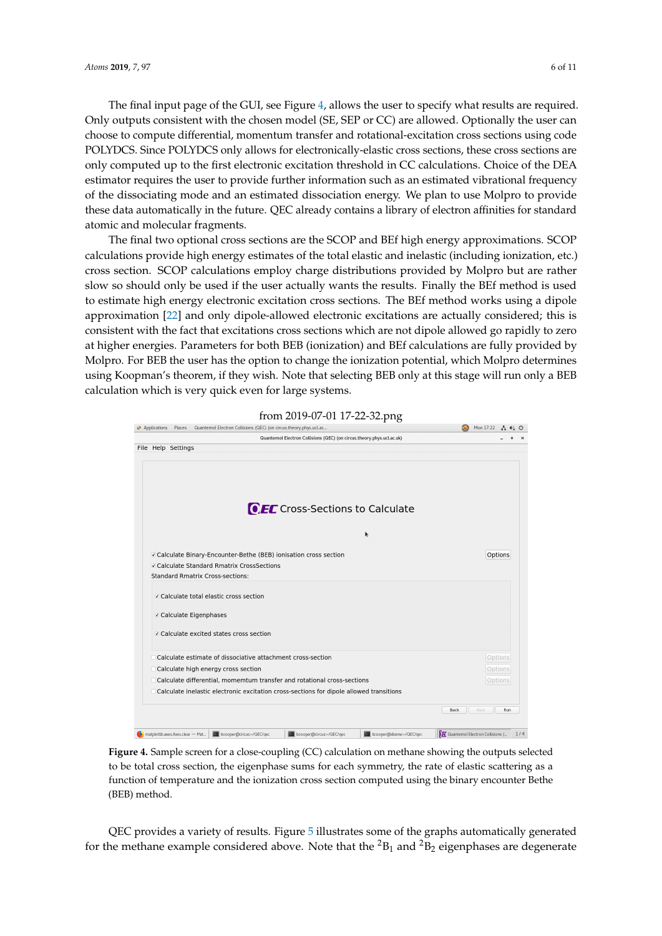The final input page of the GUI, see Figure [4,](#page-5-0) allows the user to specify what results are required. Only outputs consistent with the chosen model (SE, SEP or CC) are allowed. Optionally the user can choose to compute differential, momentum transfer and rotational-excitation cross sections using code POLYDCS. Since POLYDCS only allows for electronically-elastic cross sections, these cross sections are only computed up to the first electronic excitation threshold in CC calculations. Choice of the DEA estimator requires the user to provide further information such as an estimated vibrational frequency of the dissociating mode and an estimated dissociation energy. We plan to use Molpro to provide these data automatically in the future. QEC already contains a library of electron affinities for standard atomic and molecular fragments.

The final two optional cross sections are the SCOP and BEf high energy approximations. SCOP calculations provide high energy estimates of the total elastic and inelastic (including ionization, etc.) cross section. SCOP calculations employ charge distributions provided by Molpro but are rather slow so should only be used if the user actually wants the results. Finally the BEf method is used to estimate high energy electronic excitation cross sections. The BEf method works using a dipole approximation [\[22\]](#page-9-10) and only dipole-allowed electronic excitations are actually considered; this is consistent with the fact that excitations cross sections which are not dipole allowed go rapidly to zero at higher energies. Parameters for both BEB (ionization) and BEf calculations are fully provided by Molpro. For BEB the user has the option to change the ionization potential, which Molpro determines using Koopman's theorem, if they wish. Note that selecting BEB only at this stage will run only a BEB calculation which is very quick even for large systems.

<span id="page-5-0"></span>

**Figure 4.** Sample screen for a close-coupling (CC) calculation on methane showing the outputs selected to be total cross section, the eigenphase sums for each symmetry, the rate of elastic scattering as a function of temperature and the ionization cross section computed using the binary encounter Bethe (BEB) method.

QEC provides a variety of results. Figure [5](#page-6-0) illustrates some of the graphs automatically generated for the methane example considered above. Note that the  ${}^{2}B_{1}$  and  ${}^{2}B_{2}$  eigenphases are degenerate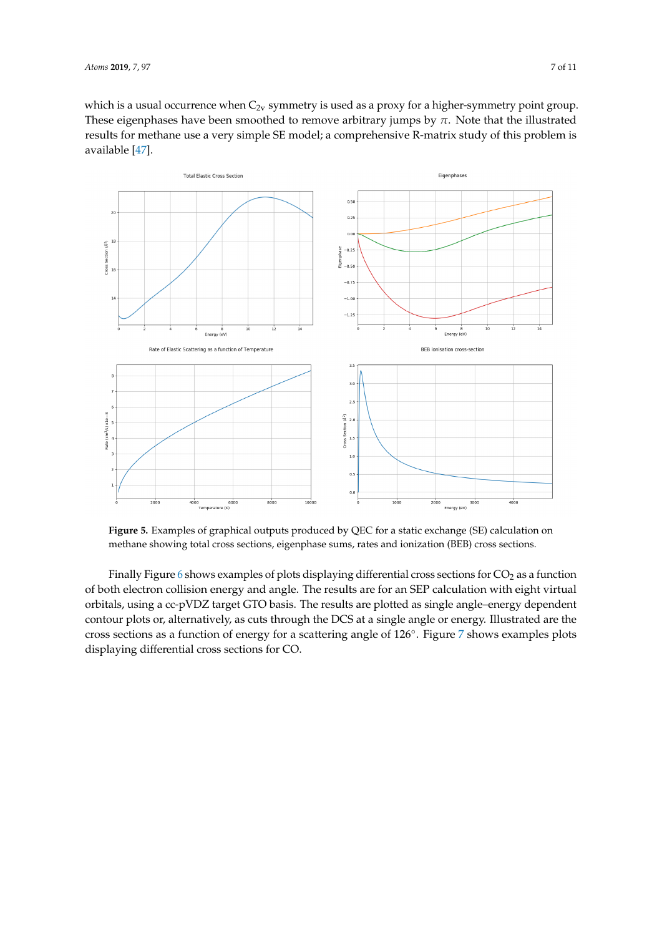which is a usual occurrence when  $C_{2v}$  symmetry is used as a proxy for a higher-symmetry point group. These eigenphases have been smoothed to remove arbitrary jumps by  $\pi$ . Note that the illustrated results for methane use a very simple SE model; a comprehensive R-matrix study of this problem is available [\[47\]](#page-10-11).

<span id="page-6-0"></span>

**Figure 5.** Examples of graphical outputs produced by QEC for a static exchange (SE) calculation on methane showing total cross sections, eigenphase sums, rates and ionization (BEB) cross sections.

Finally Figure  $6$  shows examples of plots displaying differential cross sections for  $CO<sub>2</sub>$  as a function of both electron collision energy and angle. The results are for an SEP calculation with eight virtual orbitals, using a cc-pVDZ target GTO basis. The results are plotted as single angle–energy dependent contour plots or, alternatively, as cuts through the DCS at a single angle or energy. Illustrated are the cross sections as a function of energy for a scattering angle of 126◦ . Figure [7](#page-7-1) shows examples plots displaying differential cross sections for CO.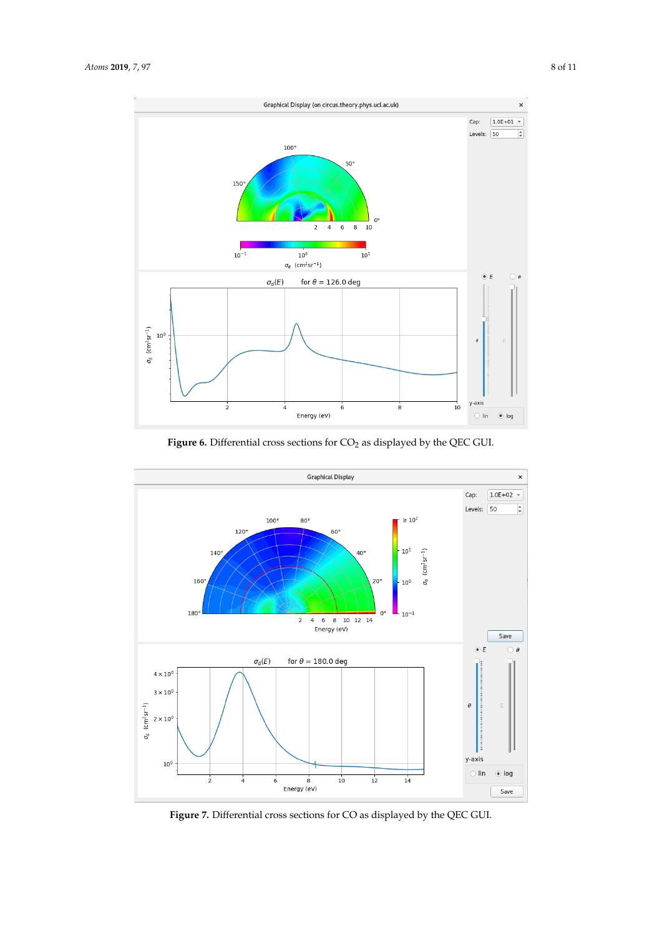<span id="page-7-0"></span>

**Figure 6.** Differential cross sections for  $CO<sub>2</sub>$  as displayed by the QEC GUI.

<span id="page-7-1"></span>

**Figure 7.** Differential cross sections for CO as displayed by the QEC GUI.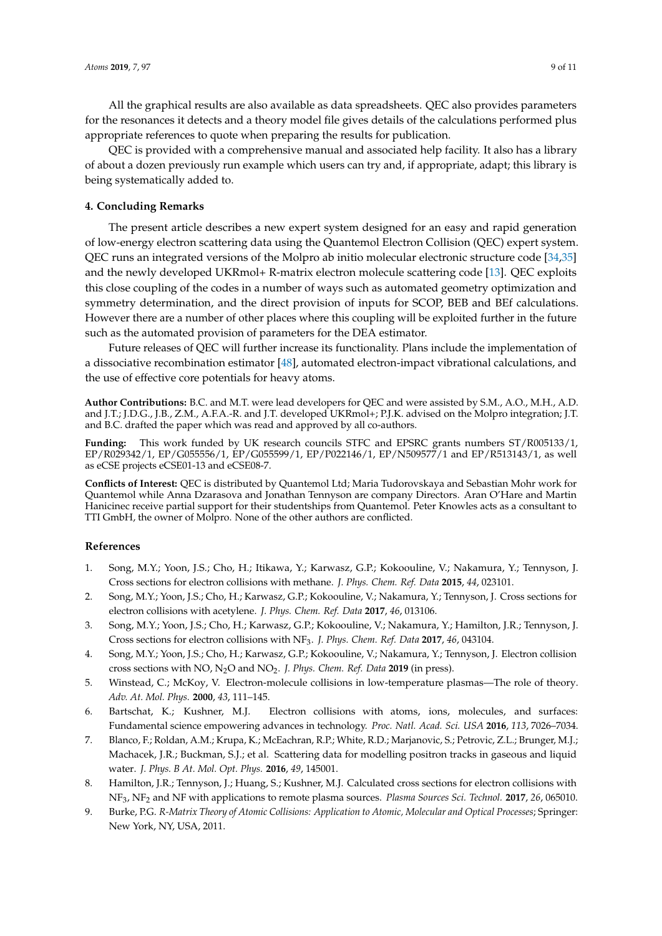All the graphical results are also available as data spreadsheets. QEC also provides parameters for the resonances it detects and a theory model file gives details of the calculations performed plus appropriate references to quote when preparing the results for publication.

QEC is provided with a comprehensive manual and associated help facility. It also has a library of about a dozen previously run example which users can try and, if appropriate, adapt; this library is being systematically added to.

## **4. Concluding Remarks**

The present article describes a new expert system designed for an easy and rapid generation of low-energy electron scattering data using the Quantemol Electron Collision (QEC) expert system. QEC runs an integrated versions of the Molpro ab initio molecular electronic structure code [\[34](#page-9-21)[,35\]](#page-9-22) and the newly developed UKRmol+ R-matrix electron molecule scattering code [\[13\]](#page-9-1). QEC exploits this close coupling of the codes in a number of ways such as automated geometry optimization and symmetry determination, and the direct provision of inputs for SCOP, BEB and BEf calculations. However there are a number of other places where this coupling will be exploited further in the future such as the automated provision of parameters for the DEA estimator.

Future releases of QEC will further increase its functionality. Plans include the implementation of a dissociative recombination estimator [\[48\]](#page-10-12), automated electron-impact vibrational calculations, and the use of effective core potentials for heavy atoms.

**Author Contributions:** B.C. and M.T. were lead developers for QEC and were assisted by S.M., A.O., M.H., A.D. and J.T.; J.D.G., J.B., Z.M., A.F.A.-R. and J.T. developed UKRmol+; P.J.K. advised on the Molpro integration; J.T. and B.C. drafted the paper which was read and approved by all co-authors.

**Funding:** This work funded by UK research councils STFC and EPSRC grants numbers ST/R005133/1, EP/R029342/1, EP/G055556/1, EP/G055599/1, EP/P022146/1, EP/N509577/1 and EP/R513143/1, as well as eCSE projects eCSE01-13 and eCSE08-7.

**Conflicts of Interest:** QEC is distributed by Quantemol Ltd; Maria Tudorovskaya and Sebastian Mohr work for Quantemol while Anna Dzarasova and Jonathan Tennyson are company Directors. Aran O'Hare and Martin Hanicinec receive partial support for their studentships from Quantemol. Peter Knowles acts as a consultant to TTI GmbH, the owner of Molpro. None of the other authors are conflicted.

### **References**

- <span id="page-8-0"></span>1. Song, M.Y.; Yoon, J.S.; Cho, H.; Itikawa, Y.; Karwasz, G.P.; Kokoouline, V.; Nakamura, Y.; Tennyson, J. Cross sections for electron collisions with methane. *J. Phys. Chem. Ref. Data* **2015**, *44*, 023101.
- 2. Song, M.Y.; Yoon, J.S.; Cho, H.; Karwasz, G.P.; Kokoouline, V.; Nakamura, Y.; Tennyson, J. Cross sections for electron collisions with acetylene. *J. Phys. Chem. Ref. Data* **2017**, *46*, 013106.
- 3. Song, M.Y.; Yoon, J.S.; Cho, H.; Karwasz, G.P.; Kokoouline, V.; Nakamura, Y.; Hamilton, J.R.; Tennyson, J. Cross sections for electron collisions with NF3. *J. Phys. Chem. Ref. Data* **2017**, *46*, 043104.
- <span id="page-8-1"></span>4. Song, M.Y.; Yoon, J.S.; Cho, H.; Karwasz, G.P.; Kokoouline, V.; Nakamura, Y.; Tennyson, J. Electron collision cross sections with NO, N2O and NO2. *J. Phys. Chem. Ref. Data* **2019** (in press).
- <span id="page-8-2"></span>5. Winstead, C.; McKoy, V. Electron-molecule collisions in low-temperature plasmas—The role of theory. *Adv. At. Mol. Phys.* **2000**, *43*, 111–145.
- <span id="page-8-3"></span>6. Bartschat, K.; Kushner, M.J. Electron collisions with atoms, ions, molecules, and surfaces: Fundamental science empowering advances in technology. *Proc. Natl. Acad. Sci. USA* **2016**, *113*, 7026–7034.
- <span id="page-8-4"></span>7. Blanco, F.; Roldan, A.M.; Krupa, K.; McEachran, R.P.; White, R.D.; Marjanovic, S.; Petrovic, Z.L.; Brunger, M.J.; Machacek, J.R.; Buckman, S.J.; et al. Scattering data for modelling positron tracks in gaseous and liquid water. *J. Phys. B At. Mol. Opt. Phys.* **2016**, *49*, 145001.
- <span id="page-8-5"></span>8. Hamilton, J.R.; Tennyson, J.; Huang, S.; Kushner, M.J. Calculated cross sections for electron collisions with NF3, NF<sup>2</sup> and NF with applications to remote plasma sources. *Plasma Sources Sci. Technol.* **2017**, *26*, 065010.
- <span id="page-8-6"></span>9. Burke, P.G. *R-Matrix Theory of Atomic Collisions: Application to Atomic, Molecular and Optical Processes*; Springer: New York, NY, USA, 2011.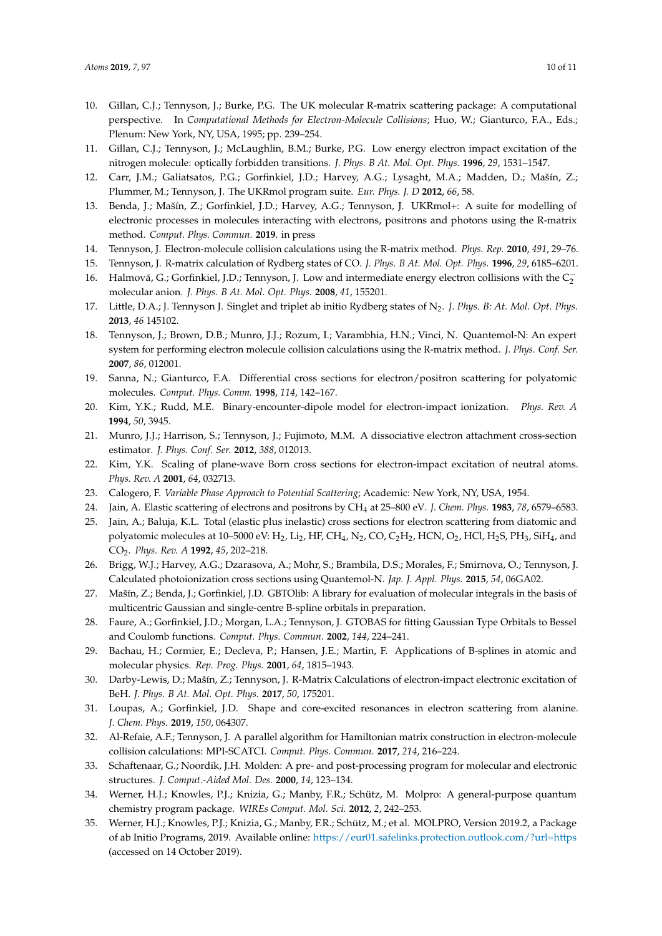- <span id="page-9-0"></span>10. Gillan, C.J.; Tennyson, J.; Burke, P.G. The UK molecular R-matrix scattering package: A computational perspective. In *Computational Methods for Electron-Molecule Collisions*; Huo, W.; Gianturco, F.A., Eds.; Plenum: New York, NY, USA, 1995; pp. 239–254.
- 11. Gillan, C.J.; Tennyson, J.; McLaughlin, B.M.; Burke, P.G. Low energy electron impact excitation of the nitrogen molecule: optically forbidden transitions. *J. Phys. B At. Mol. Opt. Phys.* **1996**, *29*, 1531–1547.
- <span id="page-9-6"></span>12. Carr, J.M.; Galiatsatos, P.G.; Gorfinkiel, J.D.; Harvey, A.G.; Lysaght, M.A.; Madden, D.; Mašín, Z.; Plummer, M.; Tennyson, J. The UKRmol program suite. *Eur. Phys. J. D* **2012**, *66*, 58.
- <span id="page-9-1"></span>13. Benda, J.; Mašín, Z.; Gorfinkiel, J.D.; Harvey, A.G.; Tennyson, J. UKRmol+: A suite for modelling of electronic processes in molecules interacting with electrons, positrons and photons using the R-matrix method. *Comput. Phys. Commun.* **2019**. in press
- <span id="page-9-2"></span>14. Tennyson, J. Electron-molecule collision calculations using the R-matrix method. *Phys. Rep.* **2010**, *491*, 29–76.
- <span id="page-9-3"></span>15. Tennyson, J. R-matrix calculation of Rydberg states of CO. *J. Phys. B At. Mol. Opt. Phys.* **1996**, *29*, 6185–6201.
- <span id="page-9-23"></span>16. Halmová, G.; Gorfinkiel, J.D.; Tennyson, J. Low and intermediate energy electron collisions with the  $C_2^$ molecular anion. *J. Phys. B At. Mol. Opt. Phys.* **2008**, *41*, 155201.
- <span id="page-9-4"></span>17. Little, D.A.; J. Tennyson J. Singlet and triplet ab initio Rydberg states of N2. *J. Phys. B: At. Mol. Opt. Phys.* **2013**, *46* 145102.
- <span id="page-9-5"></span>18. Tennyson, J.; Brown, D.B.; Munro, J.J.; Rozum, I.; Varambhia, H.N.; Vinci, N. Quantemol-N: An expert system for performing electron molecule collision calculations using the R-matrix method. *J. Phys. Conf. Ser.* **2007**, *86*, 012001.
- <span id="page-9-7"></span>19. Sanna, N.; Gianturco, F.A. Differential cross sections for electron/positron scattering for polyatomic molecules. *Comput. Phys. Comm.* **1998**, *114*, 142–167.
- <span id="page-9-8"></span>20. Kim, Y.K.; Rudd, M.E. Binary-encounter-dipole model for electron-impact ionization. *Phys. Rev. A* **1994**, *50*, 3945.
- <span id="page-9-9"></span>21. Munro, J.J.; Harrison, S.; Tennyson, J.; Fujimoto, M.M. A dissociative electron attachment cross-section estimator. *J. Phys. Conf. Ser.* **2012**, *388*, 012013.
- <span id="page-9-10"></span>22. Kim, Y.K. Scaling of plane-wave Born cross sections for electron-impact excitation of neutral atoms. *Phys. Rev. A* **2001**, *64*, 032713.
- <span id="page-9-11"></span>23. Calogero, F. *Variable Phase Approach to Potential Scattering*; Academic: New York, NY, USA, 1954.
- 24. Jain, A. Elastic scattering of electrons and positrons by CH<sup>4</sup> at 25–800 eV. *J. Chem. Phys.* **1983**, *78*, 6579–6583.
- <span id="page-9-12"></span>25. Jain, A.; Baluja, K.L. Total (elastic plus inelastic) cross sections for electron scattering from diatomic and polyatomic molecules at 10–5000 eV:  $H_2$ , Li<sub>2</sub>, HF, CH<sub>4</sub>, N<sub>2</sub>, CO, C<sub>2</sub>H<sub>2</sub>, HCN, O<sub>2</sub>, HCl, H<sub>2</sub>S, PH<sub>3</sub>, SiH<sub>4</sub>, and CO2. *Phys. Rev. A* **1992**, *45*, 202–218.
- <span id="page-9-13"></span>26. Brigg, W.J.; Harvey, A.G.; Dzarasova, A.; Mohr, S.; Brambila, D.S.; Morales, F.; Smirnova, O.; Tennyson, J. Calculated photoionization cross sections using Quantemol-N. *Jap. J. Appl. Phys.* **2015**, *54*, 06GA02.
- <span id="page-9-14"></span>27. Mašín, Z.; Benda, J.; Gorfinkiel, J.D. GBTOlib: A library for evaluation of molecular integrals in the basis of multicentric Gaussian and single-centre B-spline orbitals in preparation.
- <span id="page-9-15"></span>28. Faure, A.; Gorfinkiel, J.D.; Morgan, L.A.; Tennyson, J. GTOBAS for fitting Gaussian Type Orbitals to Bessel and Coulomb functions. *Comput. Phys. Commun.* **2002**, *144*, 224–241.
- <span id="page-9-16"></span>29. Bachau, H.; Cormier, E.; Decleva, P.; Hansen, J.E.; Martin, F. Applications of B-splines in atomic and molecular physics. *Rep. Prog. Phys.* **2001**, *64*, 1815–1943.
- <span id="page-9-17"></span>30. Darby-Lewis, D.; Mašín, Z.; Tennyson, J. R-Matrix Calculations of electron-impact electronic excitation of BeH. *J. Phys. B At. Mol. Opt. Phys.* **2017**, *50*, 175201.
- <span id="page-9-18"></span>31. Loupas, A.; Gorfinkiel, J.D. Shape and core-excited resonances in electron scattering from alanine. *J. Chem. Phys.* **2019**, *150*, 064307.
- <span id="page-9-19"></span>32. Al-Refaie, A.F.; Tennyson, J. A parallel algorithm for Hamiltonian matrix construction in electron-molecule collision calculations: MPI-SCATCI. *Comput. Phys. Commun.* **2017**, *214*, 216–224.
- <span id="page-9-20"></span>33. Schaftenaar, G.; Noordik, J.H. Molden: A pre- and post-processing program for molecular and electronic structures. *J. Comput.-Aided Mol. Des.* **2000**, *14*, 123–134.
- <span id="page-9-21"></span>34. Werner, H.J.; Knowles, P.J.; Knizia, G.; Manby, F.R.; Schütz, M. Molpro: A general-purpose quantum chemistry program package. *WIREs Comput. Mol. Sci.* **2012**, *2*, 242–253.
- <span id="page-9-22"></span>35. Werner, H.J.; Knowles, P.J.; Knizia, G.; Manby, F.R.; Schütz, M.; et al. MOLPRO, Version 2019.2, a Package of ab Initio Programs, 2019. Available online: <https://eur01.safelinks.protection.outlook.com/?url=https> (accessed on 14 October 2019).